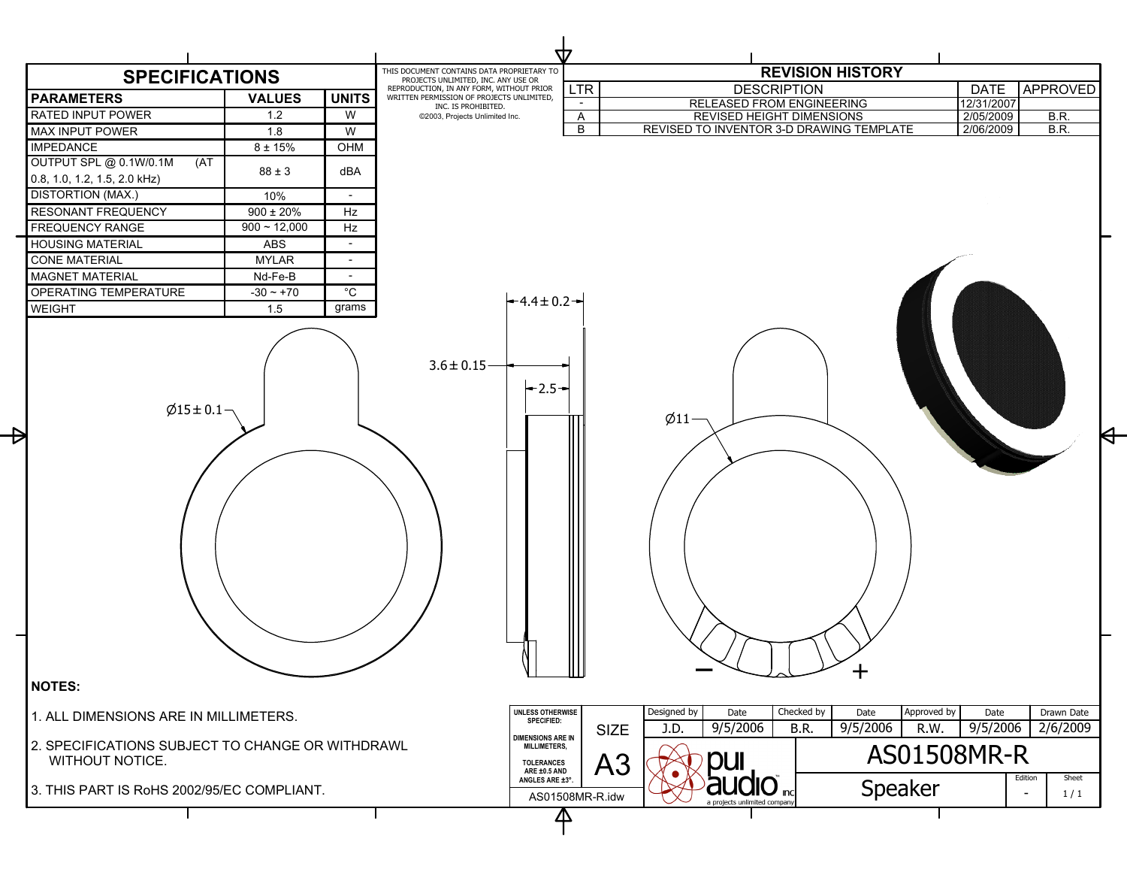